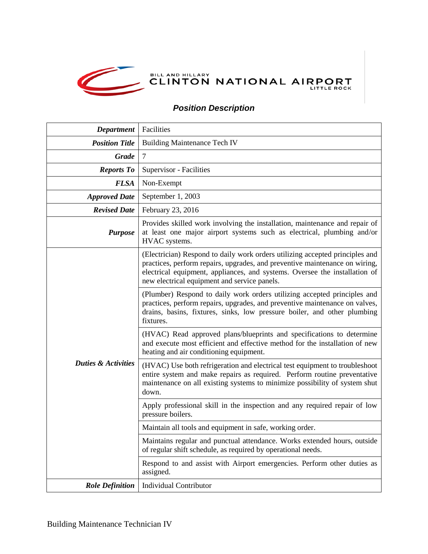

## *Position Description*

| <b>Department</b>              | Facilities                                                                                                                                                                                                                                                                                |
|--------------------------------|-------------------------------------------------------------------------------------------------------------------------------------------------------------------------------------------------------------------------------------------------------------------------------------------|
| <b>Position Title</b>          | <b>Building Maintenance Tech IV</b>                                                                                                                                                                                                                                                       |
| <b>Grade</b>                   | $\tau$                                                                                                                                                                                                                                                                                    |
| <b>Reports To</b>              | Supervisor - Facilities                                                                                                                                                                                                                                                                   |
| <b>FLSA</b>                    | Non-Exempt                                                                                                                                                                                                                                                                                |
| <b>Approved Date</b>           | September 1, 2003                                                                                                                                                                                                                                                                         |
| <b>Revised Date</b>            | February 23, 2016                                                                                                                                                                                                                                                                         |
| <b>Purpose</b>                 | Provides skilled work involving the installation, maintenance and repair of<br>at least one major airport systems such as electrical, plumbing and/or<br>HVAC systems.                                                                                                                    |
| <b>Duties &amp; Activities</b> | (Electrician) Respond to daily work orders utilizing accepted principles and<br>practices, perform repairs, upgrades, and preventive maintenance on wiring,<br>electrical equipment, appliances, and systems. Oversee the installation of<br>new electrical equipment and service panels. |
|                                | (Plumber) Respond to daily work orders utilizing accepted principles and<br>practices, perform repairs, upgrades, and preventive maintenance on valves,<br>drains, basins, fixtures, sinks, low pressure boiler, and other plumbing<br>fixtures.                                          |
|                                | (HVAC) Read approved plans/blueprints and specifications to determine<br>and execute most efficient and effective method for the installation of new<br>heating and air conditioning equipment.                                                                                           |
|                                | (HVAC) Use both refrigeration and electrical test equipment to troubleshoot<br>entire system and make repairs as required. Perform routine preventative<br>maintenance on all existing systems to minimize possibility of system shut<br>down.                                            |
|                                | Apply professional skill in the inspection and any required repair of low<br>pressure boilers.                                                                                                                                                                                            |
|                                | Maintain all tools and equipment in safe, working order.                                                                                                                                                                                                                                  |
|                                | Maintains regular and punctual attendance. Works extended hours, outside<br>of regular shift schedule, as required by operational needs.                                                                                                                                                  |
|                                | Respond to and assist with Airport emergencies. Perform other duties as<br>assigned.                                                                                                                                                                                                      |
| <b>Role Definition</b>         | <b>Individual Contributor</b>                                                                                                                                                                                                                                                             |